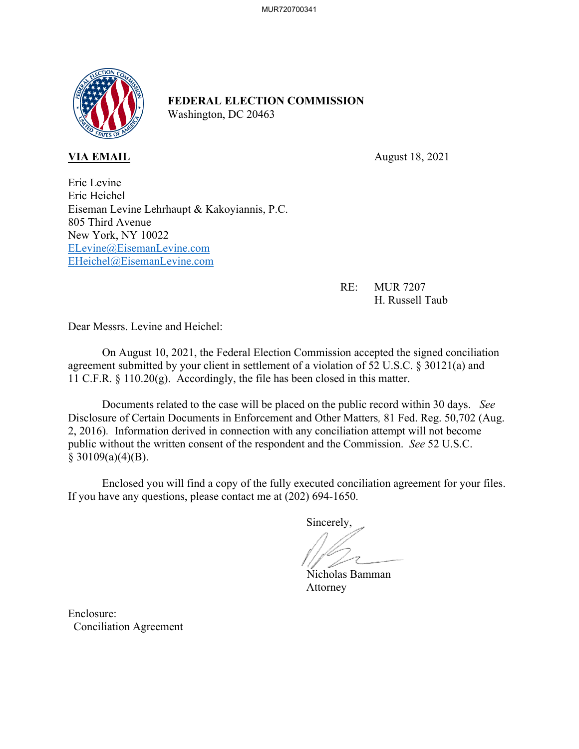

## **FEDERAL ELECTION COMMISSION** Washington, DC 20463

**VIA EMAIL** August 18, 2021

Eric Levine Eric Heichel Eiseman Levine Lehrhaupt & Kakoyiannis, P.C. 805 Third Avenue New York, NY 10022 ELevine@EisemanLevine.com EHeichel@EisemanLevine.com

> RE: MUR 7207 H. Russell Taub

Dear Messrs. Levine and Heichel:

On August 10, 2021, the Federal Election Commission accepted the signed conciliation agreement submitted by your client in settlement of a violation of 52 U.S.C. § 30121(a) and 11 C.F.R. § 110.20(g). Accordingly, the file has been closed in this matter.

Documents related to the case will be placed on the public record within 30 days. *See*  Disclosure of Certain Documents in Enforcement and Other Matters*,* 81 Fed. Reg. 50,702 (Aug. 2, 2016). Information derived in connection with any conciliation attempt will not become public without the written consent of the respondent and the Commission. *See* 52 U.S.C.  $§ 30109(a)(4)(B).$ 

 Enclosed you will find a copy of the fully executed conciliation agreement for your files. If you have any questions, please contact me at (202) 694-1650.

Sincerely,

Nicholas Bamman Attorney

Enclosure: Conciliation Agreement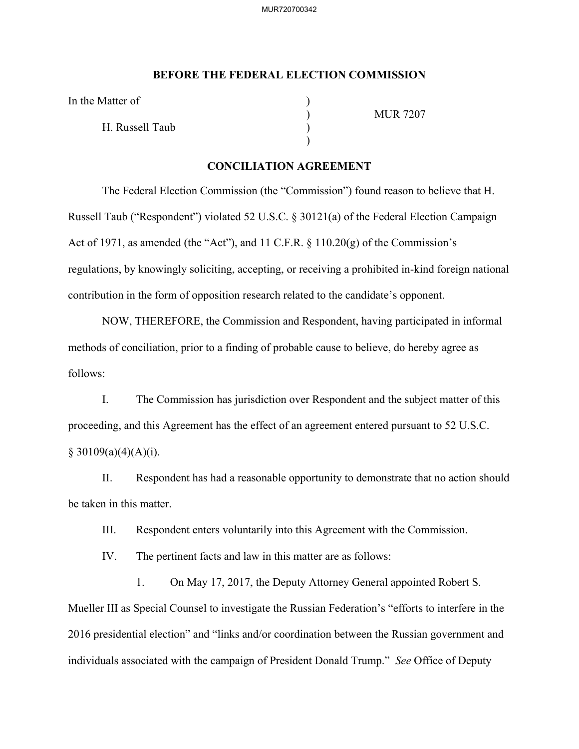## **BEFORE THE FEDERAL ELECTION COMMISSION**

In the Matter of

H. Russell Taub )

 $)$ 

) MUR 7207

## **CONCILIATION AGREEMENT**

The Federal Election Commission (the "Commission") found reason to believe that H. Russell Taub ("Respondent") violated 52 U.S.C. § 30121(a) of the Federal Election Campaign Act of 1971, as amended (the "Act"), and 11 C.F.R. § 110.20(g) of the Commission's regulations, by knowingly soliciting, accepting, or receiving a prohibited in-kind foreign national contribution in the form of opposition research related to the candidate's opponent.

NOW, THEREFORE, the Commission and Respondent, having participated in informal methods of conciliation, prior to a finding of probable cause to believe, do hereby agree as follows:

I. The Commission has jurisdiction over Respondent and the subject matter of this proceeding, and this Agreement has the effect of an agreement entered pursuant to 52 U.S.C.  $§ 30109(a)(4)(A)(i).$ 

II. Respondent has had a reasonable opportunity to demonstrate that no action should be taken in this matter.

III. Respondent enters voluntarily into this Agreement with the Commission.

IV. The pertinent facts and law in this matter are as follows:

1. On May 17, 2017, the Deputy Attorney General appointed Robert S. Mueller III as Special Counsel to investigate the Russian Federation's "efforts to interfere in the 2016 presidential election" and "links and/or coordination between the Russian government and individuals associated with the campaign of President Donald Trump." *See* Office of Deputy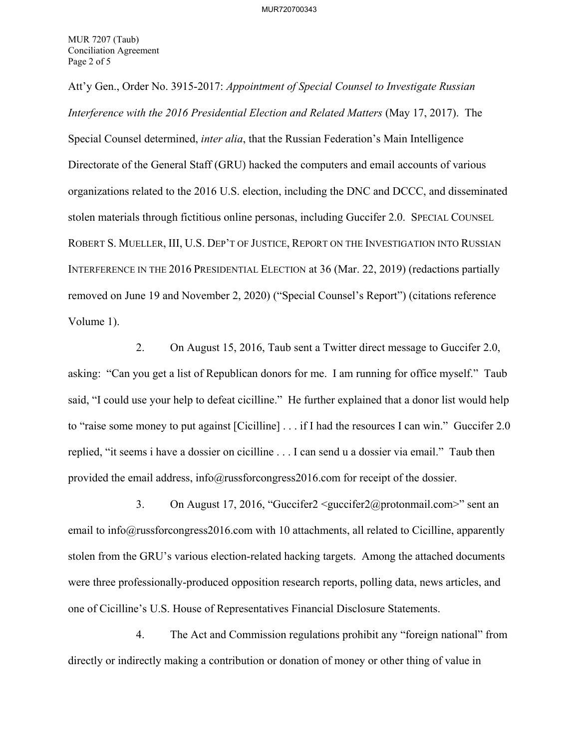Att'y Gen., Order No. 3915-2017: *Appointment of Special Counsel to Investigate Russian Interference with the 2016 Presidential Election and Related Matters* (May 17, 2017). The Special Counsel determined, *inter alia*, that the Russian Federation's Main Intelligence Directorate of the General Staff (GRU) hacked the computers and email accounts of various organizations related to the 2016 U.S. election, including the DNC and DCCC, and disseminated stolen materials through fictitious online personas, including Guccifer 2.0. SPECIAL COUNSEL ROBERT S. MUELLER, III, U.S. DEP'T OF JUSTICE, REPORT ON THE INVESTIGATION INTO RUSSIAN INTERFERENCE IN THE 2016 PRESIDENTIAL ELECTION at 36 (Mar. 22, 2019) (redactions partially removed on June 19 and November 2, 2020) ("Special Counsel's Report") (citations reference Volume 1).

2. On August 15, 2016, Taub sent a Twitter direct message to Guccifer 2.0, asking: "Can you get a list of Republican donors for me. I am running for office myself." Taub said, "I could use your help to defeat cicilline." He further explained that a donor list would help to "raise some money to put against [Cicilline] . . . if I had the resources I can win." Guccifer 2.0 replied, "it seems i have a dossier on cicilline . . . I can send u a dossier via email." Taub then provided the email address, info@russforcongress2016.com for receipt of the dossier.

3. On August 17, 2016, "Guccifer2 <guccifer2@protonmail.com>" sent an email to info@russforcongress2016.com with 10 attachments, all related to Cicilline, apparently stolen from the GRU's various election-related hacking targets. Among the attached documents were three professionally-produced opposition research reports, polling data, news articles, and one of Cicilline's U.S. House of Representatives Financial Disclosure Statements.

4. The Act and Commission regulations prohibit any "foreign national" from directly or indirectly making a contribution or donation of money or other thing of value in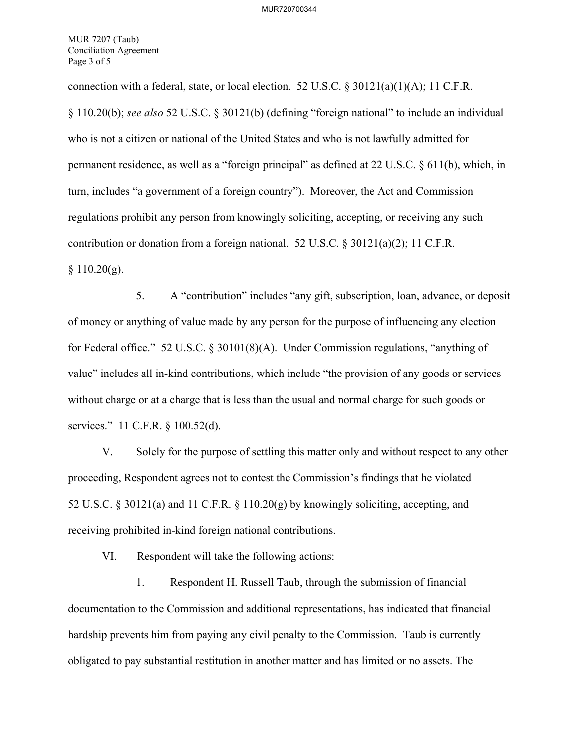MUR 7207 (Taub) Conciliation Agreement Page 3 of 5

connection with a federal, state, or local election. 52 U.S.C.  $\frac{830121(a)(1)(A)}{1}$ ; 11 C.F.R. § 110.20(b); *see also* 52 U.S.C. § 30121(b) (defining "foreign national" to include an individual who is not a citizen or national of the United States and who is not lawfully admitted for permanent residence, as well as a "foreign principal" as defined at 22 U.S.C. § 611(b), which, in turn, includes "a government of a foreign country"). Moreover, the Act and Commission regulations prohibit any person from knowingly soliciting, accepting, or receiving any such contribution or donation from a foreign national. 52 U.S.C. § 30121(a)(2); 11 C.F.R.  $§ 110.20(g).$ 

5. A "contribution" includes "any gift, subscription, loan, advance, or deposit of money or anything of value made by any person for the purpose of influencing any election for Federal office." 52 U.S.C. § 30101(8)(A). Under Commission regulations, "anything of value" includes all in-kind contributions, which include "the provision of any goods or services without charge or at a charge that is less than the usual and normal charge for such goods or services." 11 C.F.R. § 100.52(d).

V. Solely for the purpose of settling this matter only and without respect to any other proceeding, Respondent agrees not to contest the Commission's findings that he violated 52 U.S.C. § 30121(a) and 11 C.F.R. § 110.20(g) by knowingly soliciting, accepting, and receiving prohibited in-kind foreign national contributions.

VI. Respondent will take the following actions:

1. Respondent H. Russell Taub, through the submission of financial documentation to the Commission and additional representations, has indicated that financial hardship prevents him from paying any civil penalty to the Commission. Taub is currently obligated to pay substantial restitution in another matter and has limited or no assets. The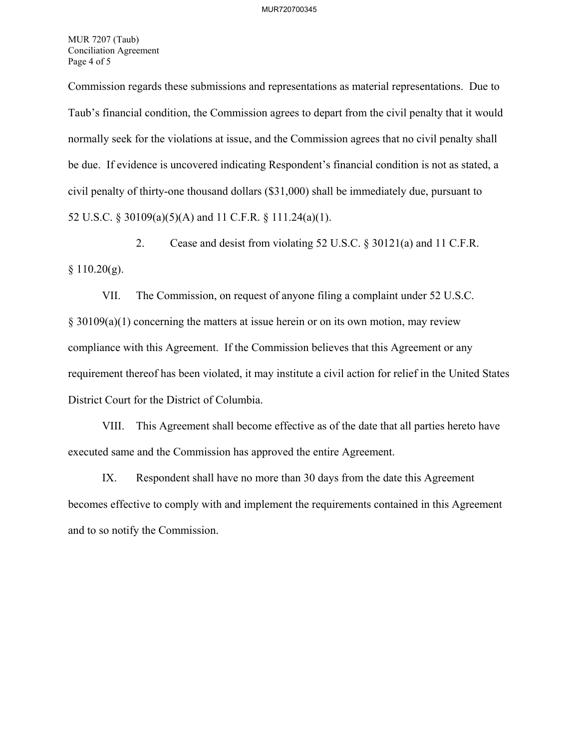MUR 7207 (Taub) Conciliation Agreement Page 4 of 5

Commission regards these submissions and representations as material representations. Due to Taub's financial condition, the Commission agrees to depart from the civil penalty that it would normally seek for the violations at issue, and the Commission agrees that no civil penalty shall be due. If evidence is uncovered indicating Respondent's financial condition is not as stated, a civil penalty of thirty-one thousand dollars (\$31,000) shall be immediately due, pursuant to 52 U.S.C. § 30109(a)(5)(A) and 11 C.F.R. § 111.24(a)(1).

2. Cease and desist from violating 52 U.S.C. § 30121(a) and 11 C.F.R.  $§ 110.20(g).$ 

VII. The Commission, on request of anyone filing a complaint under 52 U.S.C. § 30109(a)(1) concerning the matters at issue herein or on its own motion, may review compliance with this Agreement. If the Commission believes that this Agreement or any requirement thereof has been violated, it may institute a civil action for relief in the United States District Court for the District of Columbia.

VIII. This Agreement shall become effective as of the date that all parties hereto have executed same and the Commission has approved the entire Agreement.

IX. Respondent shall have no more than 30 days from the date this Agreement becomes effective to comply with and implement the requirements contained in this Agreement and to so notify the Commission.